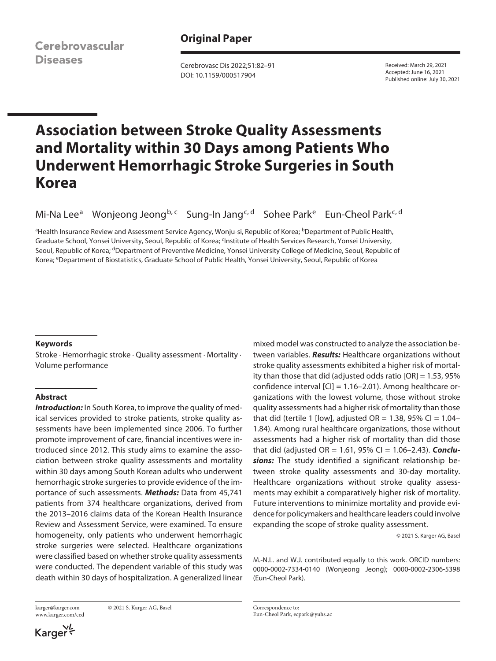Cerebrovascular **Diseases** 

# **Original Paper**

Cerebrovasc Dis 2022;51:82–91 DOI: 10.1159/000517904

Received: March 29, 2021 Accepted: June 16, 2021 Published online: July 30, 2021

# **Association between Stroke Quality Assessments and Mortality within 30 Days among Patients Who Underwent Hemorrhagic Stroke Surgeries in South Korea**

Mi-Na Lee<sup>a</sup> Wonjeong Jeong<sup>b, c</sup> Sung-In Jang<sup>c, d</sup> Sohee Park<sup>e</sup> Eun-Cheol Park<sup>c, d</sup>

<sup>a</sup>Health Insurance Review and Assessment Service Agency, Wonju-si, Republic of Korea; <sup>b</sup>Department of Public Health, Graduate School, Yonsei University, Seoul, Republic of Korea; <sup>q</sup>nstitute of Health Services Research, Yonsei University, Seoul, Republic of Korea; dDepartment of Preventive Medicine, Yonsei University College of Medicine, Seoul, Republic of Korea; eDepartment of Biostatistics, Graduate School of Public Health, Yonsei University, Seoul, Republic of Korea

### **Keywords**

Stroke · Hemorrhagic stroke · Quality assessment · Mortality · Volume performance

# **Abstract**

**Introduction:** In South Korea, to improve the quality of medical services provided to stroke patients, stroke quality assessments have been implemented since 2006. To further promote improvement of care, financial incentives were introduced since 2012. This study aims to examine the association between stroke quality assessments and mortality within 30 days among South Korean adults who underwent hemorrhagic stroke surgeries to provide evidence of the importance of such assessments. *Methods:* Data from 45,741 patients from 374 healthcare organizations, derived from the 2013–2016 claims data of the Korean Health Insurance Review and Assessment Service, were examined. To ensure homogeneity, only patients who underwent hemorrhagic stroke surgeries were selected. Healthcare organizations were classified based on whether stroke quality assessments were conducted. The dependent variable of this study was death within 30 days of hospitalization. A generalized linear

www.karger.com/ced

karger@karger.com © 2021 S. Karger AG, Basel

Karger

mixed model was constructed to analyze the association between variables. *Results:* Healthcare organizations without stroke quality assessments exhibited a higher risk of mortality than those that did (adjusted odds ratio [OR] = 1.53, 95% confidence interval [CI] = 1.16–2.01). Among healthcare organizations with the lowest volume, those without stroke quality assessments had a higher risk of mortality than those that did (tertile 1 [low], adjusted  $OR = 1.38$ , 95% CI = 1.04– 1.84). Among rural healthcare organizations, those without assessments had a higher risk of mortality than did those that did (adjusted OR = 1.61, 95% CI = 1.06–2.43). *Conclusions:* The study identified a significant relationship between stroke quality assessments and 30-day mortality. Healthcare organizations without stroke quality assessments may exhibit a comparatively higher risk of mortality. Future interventions to minimize mortality and provide evidence for policymakers and healthcare leaders could involve expanding the scope of stroke quality assessment.

© 2021 S. Karger AG, Basel

M.-N.L. and W.J. contributed equally to this work. ORCID numbers: 0000-0002-7334-0140 (Wonjeong Jeong); 0000-0002-2306-5398 (Eun-Cheol Park).

Correspondence to: Eun-Cheol Park, ecpark@yuhs.ac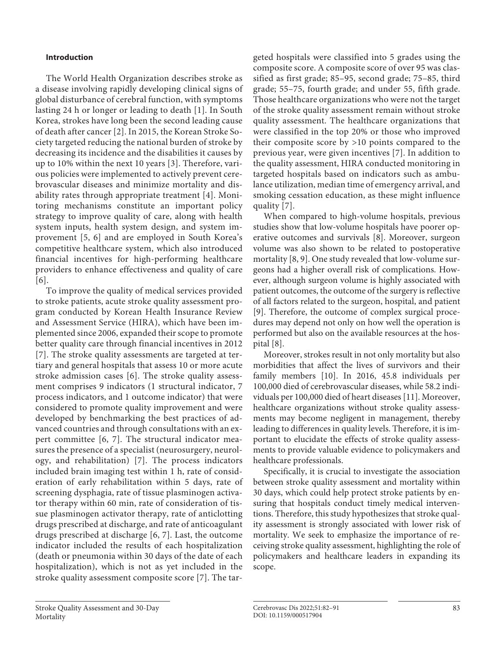# **Introduction**

<span id="page-1-2"></span><span id="page-1-1"></span><span id="page-1-0"></span>The World Health Organization describes stroke as a disease involving rapidly developing clinical signs of global disturbance of cerebral function, with symptoms lasting 24 h or longer or leading to death [[1](#page-8-0)]. In South Korea, strokes have long been the second leading cause of death after cancer [[2](#page-8-1)]. In 2015, the Korean Stroke Society targeted reducing the national burden of stroke by decreasing its incidence and the disabilities it causes by up to 10% within the next 10 years [[3](#page-8-2)]. Therefore, various policies were implemented to actively prevent cerebrovascular diseases and minimize mortality and disability rates through appropriate treatment [\[4\]](#page-8-3). Monitoring mechanisms constitute an important policy strategy to improve quality of care, along with health system inputs, health system design, and system improvement [\[5,](#page-8-4) [6\]](#page-8-5) and are employed in South Korea's competitive healthcare system, which also introduced financial incentives for high-performing healthcare providers to enhance effectiveness and quality of care [\[6\]](#page-8-5).

<span id="page-1-5"></span><span id="page-1-4"></span><span id="page-1-3"></span>To improve the quality of medical services provided to stroke patients, acute stroke quality assessment program conducted by Korean Health Insurance Review and Assessment Service (HIRA), which have been implemented since 2006, expanded their scope to promote better quality care through financial incentives in 2012 [\[7\]](#page-8-6). The stroke quality assessments are targeted at tertiary and general hospitals that assess 10 or more acute stroke admission cases [[6](#page-8-5)]. The stroke quality assessment comprises 9 indicators (1 structural indicator, 7 process indicators, and 1 outcome indicator) that were considered to promote quality improvement and were developed by benchmarking the best practices of advanced countries and through consultations with an expert committee [\[6,](#page-8-5) [7](#page-8-6)]. The structural indicator measures the presence of a specialist (neurosurgery, neurology, and rehabilitation) [[7\]](#page-8-6). The process indicators included brain imaging test within 1 h, rate of consideration of early rehabilitation within 5 days, rate of screening dysphagia, rate of tissue plasminogen activator therapy within 60 min, rate of consideration of tissue plasminogen activator therapy, rate of anticlotting drugs prescribed at discharge, and rate of anticoagulant drugs prescribed at discharge [[6](#page-8-5), [7](#page-8-6)]. Last, the outcome indicator included the results of each hospitalization (death or pneumonia within 30 days of the date of each hospitalization), which is not as yet included in the stroke quality assessment composite score [[7](#page-8-6)]. The tarcomposite score. A composite score of over 95 was classified as first grade; 85–95, second grade; 75–85, third grade; 55–75, fourth grade; and under 55, fifth grade. Those healthcare organizations who were not the target of the stroke quality assessment remain without stroke quality assessment. The healthcare organizations that were classified in the top 20% or those who improved their composite score by >10 points compared to the previous year, were given incentives [[7](#page-8-6)]. In addition to the quality assessment, HIRA conducted monitoring in targeted hospitals based on indicators such as ambulance utilization, median time of emergency arrival, and smoking cessation education, as these might influence quality [[7\]](#page-8-6).

geted hospitals were classified into 5 grades using the

<span id="page-1-7"></span><span id="page-1-6"></span>When compared to high-volume hospitals, previous studies show that low-volume hospitals have poorer operative outcomes and survivals [[8\]](#page-8-7). Moreover, surgeon volume was also shown to be related to postoperative mortality [[8](#page-8-7), [9](#page-8-8)]. One study revealed that low-volume surgeons had a higher overall risk of complications. However, although surgeon volume is highly associated with patient outcomes, the outcome of the surgery is reflective of all factors related to the surgeon, hospital, and patient [[9](#page-8-8)]. Therefore, the outcome of complex surgical procedures may depend not only on how well the operation is performed but also on the available resources at the hospital [[8](#page-8-7)].

<span id="page-1-9"></span><span id="page-1-8"></span>Moreover, strokes result in not only mortality but also morbidities that affect the lives of survivors and their family members [\[10](#page-8-0)]. In 2016, 45.8 individuals per 100,000 died of cerebrovascular diseases, while 58.2 individuals per 100,000 died of heart diseases [[11](#page-8-0)]. Moreover, healthcare organizations without stroke quality assessments may become negligent in management, thereby leading to differences in quality levels. Therefore, it is important to elucidate the effects of stroke quality assessments to provide valuable evidence to policymakers and healthcare professionals.

Specifically, it is crucial to investigate the association between stroke quality assessment and mortality within 30 days, which could help protect stroke patients by ensuring that hospitals conduct timely medical interventions. Therefore, this study hypothesizes that stroke quality assessment is strongly associated with lower risk of mortality. We seek to emphasize the importance of receiving stroke quality assessment, highlighting the role of policymakers and healthcare leaders in expanding its scope.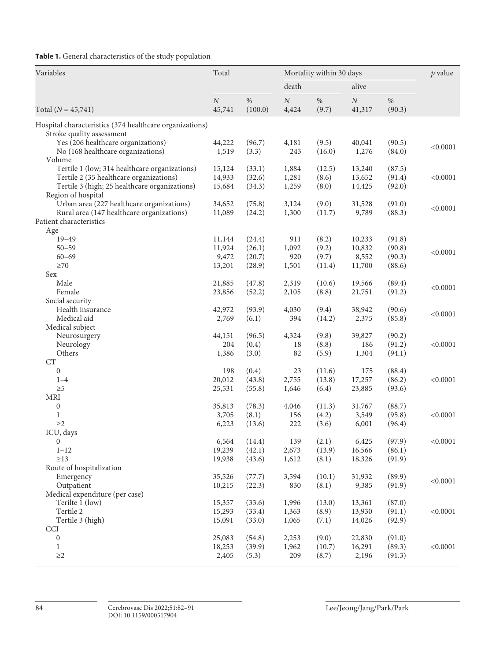**Table 1.** General characteristics of the study population

| death<br>alive<br>$\cal N$<br>$\%$<br>$\cal N$<br>$\%$<br>$\cal N$<br>$\%$<br>(100.0)<br>(9.7)<br>(90.3)<br>45,741<br>4,424<br>41,317<br>Hospital characteristics (374 healthcare organizations)<br>Stroke quality assessment<br>Yes (206 healthcare organizations)<br>(96.7)<br>(9.5)<br>40,041<br>(90.5)<br>44,222<br>4,181<br>< 0.0001<br>No (168 healthcare organizations)<br>1,519<br>(3.3)<br>243<br>(16.0)<br>1,276<br>(84.0)<br>Volume<br>Tertile 1 (low; 314 healthcare organizations)<br>(12.5)<br>(87.5)<br>15,124<br>(33.1)<br>1,884<br>13,240<br>Tertile 2 (35 healthcare organizations)<br>< 0.0001<br>14,933<br>(32.6)<br>1,281<br>(8.6)<br>13,652<br>(91.4)<br>Tertile 3 (high; 25 healthcare organizations)<br>(34.3)<br>1,259<br>(8.0)<br>14,425<br>(92.0)<br>15,684<br>Region of hospital<br>Urban area (227 healthcare organizations)<br>(9.0)<br>34,652<br>(75.8)<br>3,124<br>31,528<br>(91.0)<br>< 0.0001<br>Rural area (147 healthcare organizations)<br>(88.3)<br>11,089<br>1,300<br>(11.7)<br>9,789<br>(24.2)<br>Patient characteristics<br>Age<br>$19 - 49$<br>(24.4)<br>911<br>(8.2)<br>10,233<br>(91.8)<br>11,144<br>11,924<br>(26.1)<br>1,092<br>(9.2)<br>10,832<br>(90.8)<br>$50 - 59$<br>< 0.0001<br>(9.7)<br>(90.3)<br>$60 - 69$<br>9,472<br>(20.7)<br>920<br>8,552<br>$\geq 70$<br>11,700<br>13,201<br>(28.9)<br>1,501<br>(88.6)<br>(11.4)<br>Sex<br>Male<br>(89.4)<br>21,885<br>(47.8)<br>2,319<br>(10.6)<br>19,566<br>< 0.0001<br>(8.8)<br>(91.2)<br>Female<br>23,856<br>(52.2)<br>2,105<br>21,751<br>Social security<br>Health insurance<br>42,972<br>(93.9)<br>4,030<br>(9.4)<br>38,942<br>(90.6)<br>< 0.0001<br>Medical aid<br>(85.8)<br>2,769<br>(6.1)<br>394<br>(14.2)<br>2,375<br>Medical subject<br>Neurosurgery<br>(96.5)<br>(9.8)<br>(90.2)<br>44,151<br>4,324<br>39,827<br>< 0.0001<br>Neurology<br>204<br>(0.4)<br>(8.8)<br>186<br>(91.2)<br>18<br>Others<br>(3.0)<br>82<br>(5.9)<br>1,304<br>(94.1)<br>1,386<br><b>CT</b><br>0<br>198<br>(0.4)<br>(88.4)<br>23<br>(11.6)<br>175<br>17,257<br>20,012<br>(43.8)<br>2,755<br>(13.8)<br>(86.2)<br>< 0.0001<br>$1 - 4$<br>$\geq 5$<br>(55.8)<br>(6.4)<br>23,885<br>(93.6)<br>25,531<br>1,646<br><b>MRI</b><br>$\boldsymbol{0}$<br>35,813<br>(78.3)<br>4,046<br>31,767<br>(11.3)<br>(88.7)<br>3,705<br>(8.1)<br>156<br>(4.2)<br>3,549<br>(95.8)<br>< 0.0001<br>1<br>$\geq$ 2<br>6,223<br>(13.6)<br>222<br>(3.6)<br>6,001<br>(96.4)<br>ICU, days<br>(2.1)<br>6,425<br>(97.9)<br>< 0.0001<br>$\boldsymbol{0}$<br>6,564<br>(14.4)<br>139<br>19,239<br>(42.1)<br>(86.1)<br>$1 - 12$<br>2,673<br>(13.9)<br>16,566<br>$\geq$ 13<br>(91.9)<br>19,938<br>(43.6)<br>1,612<br>(8.1)<br>18,326<br>Route of hospitalization<br>Emergency<br>35,526<br>(77.7)<br>3,594<br>(10.1)<br>31,932<br>(89.9)<br>< 0.0001<br>(8.1)<br>Outpatient<br>10,215<br>(22.3)<br>830<br>9,385<br>(91.9)<br>Medical expenditure (per case)<br>Terilte 1 (low)<br>(33.6)<br>15,357<br>1,996<br>(13.0)<br>13,361<br>(87.0)<br>Tertile 2<br>(33.4)<br>(8.9)<br>(91.1)<br>< 0.0001<br>15,293<br>1,363<br>13,930<br>Tertile 3 (high)<br>(92.9)<br>15,091<br>(33.0)<br>1,065<br>(7.1)<br>14,026<br>$\ensuremath{\text{CCI}}$<br>$\boldsymbol{0}$<br>25,083<br>(54.8)<br>(9.0)<br>22,830<br>(91.0)<br>2,253<br>$\mathbf{1}$<br>(39.9)<br>(89.3)<br>< 0.0001<br>18,253<br>1,962<br>(10.7)<br>16,291 | Variables<br>Total $(N = 45,741)$ | Total |       | Mortality within 30 days |       |       |        | $p$ value |
|------------------------------------------------------------------------------------------------------------------------------------------------------------------------------------------------------------------------------------------------------------------------------------------------------------------------------------------------------------------------------------------------------------------------------------------------------------------------------------------------------------------------------------------------------------------------------------------------------------------------------------------------------------------------------------------------------------------------------------------------------------------------------------------------------------------------------------------------------------------------------------------------------------------------------------------------------------------------------------------------------------------------------------------------------------------------------------------------------------------------------------------------------------------------------------------------------------------------------------------------------------------------------------------------------------------------------------------------------------------------------------------------------------------------------------------------------------------------------------------------------------------------------------------------------------------------------------------------------------------------------------------------------------------------------------------------------------------------------------------------------------------------------------------------------------------------------------------------------------------------------------------------------------------------------------------------------------------------------------------------------------------------------------------------------------------------------------------------------------------------------------------------------------------------------------------------------------------------------------------------------------------------------------------------------------------------------------------------------------------------------------------------------------------------------------------------------------------------------------------------------------------------------------------------------------------------------------------------------------------------------------------------------------------------------------------------------------------------------------------------------------------------------------------------------------------------------------------------------------------------------------------------------------------------------------------------------------------------------------------------------------------------------------------------------------------------------------------------------------------------------------------------------------------------------------------------------------------------------------------------------------------------------------------------------------------------------------------------------|-----------------------------------|-------|-------|--------------------------|-------|-------|--------|-----------|
|                                                                                                                                                                                                                                                                                                                                                                                                                                                                                                                                                                                                                                                                                                                                                                                                                                                                                                                                                                                                                                                                                                                                                                                                                                                                                                                                                                                                                                                                                                                                                                                                                                                                                                                                                                                                                                                                                                                                                                                                                                                                                                                                                                                                                                                                                                                                                                                                                                                                                                                                                                                                                                                                                                                                                                                                                                                                                                                                                                                                                                                                                                                                                                                                                                                                                                                                                      |                                   |       |       |                          |       |       |        |           |
|                                                                                                                                                                                                                                                                                                                                                                                                                                                                                                                                                                                                                                                                                                                                                                                                                                                                                                                                                                                                                                                                                                                                                                                                                                                                                                                                                                                                                                                                                                                                                                                                                                                                                                                                                                                                                                                                                                                                                                                                                                                                                                                                                                                                                                                                                                                                                                                                                                                                                                                                                                                                                                                                                                                                                                                                                                                                                                                                                                                                                                                                                                                                                                                                                                                                                                                                                      |                                   |       |       |                          |       |       |        |           |
|                                                                                                                                                                                                                                                                                                                                                                                                                                                                                                                                                                                                                                                                                                                                                                                                                                                                                                                                                                                                                                                                                                                                                                                                                                                                                                                                                                                                                                                                                                                                                                                                                                                                                                                                                                                                                                                                                                                                                                                                                                                                                                                                                                                                                                                                                                                                                                                                                                                                                                                                                                                                                                                                                                                                                                                                                                                                                                                                                                                                                                                                                                                                                                                                                                                                                                                                                      |                                   |       |       |                          |       |       |        |           |
|                                                                                                                                                                                                                                                                                                                                                                                                                                                                                                                                                                                                                                                                                                                                                                                                                                                                                                                                                                                                                                                                                                                                                                                                                                                                                                                                                                                                                                                                                                                                                                                                                                                                                                                                                                                                                                                                                                                                                                                                                                                                                                                                                                                                                                                                                                                                                                                                                                                                                                                                                                                                                                                                                                                                                                                                                                                                                                                                                                                                                                                                                                                                                                                                                                                                                                                                                      |                                   |       |       |                          |       |       |        |           |
|                                                                                                                                                                                                                                                                                                                                                                                                                                                                                                                                                                                                                                                                                                                                                                                                                                                                                                                                                                                                                                                                                                                                                                                                                                                                                                                                                                                                                                                                                                                                                                                                                                                                                                                                                                                                                                                                                                                                                                                                                                                                                                                                                                                                                                                                                                                                                                                                                                                                                                                                                                                                                                                                                                                                                                                                                                                                                                                                                                                                                                                                                                                                                                                                                                                                                                                                                      |                                   |       |       |                          |       |       |        |           |
|                                                                                                                                                                                                                                                                                                                                                                                                                                                                                                                                                                                                                                                                                                                                                                                                                                                                                                                                                                                                                                                                                                                                                                                                                                                                                                                                                                                                                                                                                                                                                                                                                                                                                                                                                                                                                                                                                                                                                                                                                                                                                                                                                                                                                                                                                                                                                                                                                                                                                                                                                                                                                                                                                                                                                                                                                                                                                                                                                                                                                                                                                                                                                                                                                                                                                                                                                      |                                   |       |       |                          |       |       |        |           |
|                                                                                                                                                                                                                                                                                                                                                                                                                                                                                                                                                                                                                                                                                                                                                                                                                                                                                                                                                                                                                                                                                                                                                                                                                                                                                                                                                                                                                                                                                                                                                                                                                                                                                                                                                                                                                                                                                                                                                                                                                                                                                                                                                                                                                                                                                                                                                                                                                                                                                                                                                                                                                                                                                                                                                                                                                                                                                                                                                                                                                                                                                                                                                                                                                                                                                                                                                      |                                   |       |       |                          |       |       |        |           |
|                                                                                                                                                                                                                                                                                                                                                                                                                                                                                                                                                                                                                                                                                                                                                                                                                                                                                                                                                                                                                                                                                                                                                                                                                                                                                                                                                                                                                                                                                                                                                                                                                                                                                                                                                                                                                                                                                                                                                                                                                                                                                                                                                                                                                                                                                                                                                                                                                                                                                                                                                                                                                                                                                                                                                                                                                                                                                                                                                                                                                                                                                                                                                                                                                                                                                                                                                      |                                   |       |       |                          |       |       |        |           |
|                                                                                                                                                                                                                                                                                                                                                                                                                                                                                                                                                                                                                                                                                                                                                                                                                                                                                                                                                                                                                                                                                                                                                                                                                                                                                                                                                                                                                                                                                                                                                                                                                                                                                                                                                                                                                                                                                                                                                                                                                                                                                                                                                                                                                                                                                                                                                                                                                                                                                                                                                                                                                                                                                                                                                                                                                                                                                                                                                                                                                                                                                                                                                                                                                                                                                                                                                      |                                   |       |       |                          |       |       |        |           |
|                                                                                                                                                                                                                                                                                                                                                                                                                                                                                                                                                                                                                                                                                                                                                                                                                                                                                                                                                                                                                                                                                                                                                                                                                                                                                                                                                                                                                                                                                                                                                                                                                                                                                                                                                                                                                                                                                                                                                                                                                                                                                                                                                                                                                                                                                                                                                                                                                                                                                                                                                                                                                                                                                                                                                                                                                                                                                                                                                                                                                                                                                                                                                                                                                                                                                                                                                      |                                   |       |       |                          |       |       |        |           |
|                                                                                                                                                                                                                                                                                                                                                                                                                                                                                                                                                                                                                                                                                                                                                                                                                                                                                                                                                                                                                                                                                                                                                                                                                                                                                                                                                                                                                                                                                                                                                                                                                                                                                                                                                                                                                                                                                                                                                                                                                                                                                                                                                                                                                                                                                                                                                                                                                                                                                                                                                                                                                                                                                                                                                                                                                                                                                                                                                                                                                                                                                                                                                                                                                                                                                                                                                      |                                   |       |       |                          |       |       |        |           |
|                                                                                                                                                                                                                                                                                                                                                                                                                                                                                                                                                                                                                                                                                                                                                                                                                                                                                                                                                                                                                                                                                                                                                                                                                                                                                                                                                                                                                                                                                                                                                                                                                                                                                                                                                                                                                                                                                                                                                                                                                                                                                                                                                                                                                                                                                                                                                                                                                                                                                                                                                                                                                                                                                                                                                                                                                                                                                                                                                                                                                                                                                                                                                                                                                                                                                                                                                      |                                   |       |       |                          |       |       |        |           |
|                                                                                                                                                                                                                                                                                                                                                                                                                                                                                                                                                                                                                                                                                                                                                                                                                                                                                                                                                                                                                                                                                                                                                                                                                                                                                                                                                                                                                                                                                                                                                                                                                                                                                                                                                                                                                                                                                                                                                                                                                                                                                                                                                                                                                                                                                                                                                                                                                                                                                                                                                                                                                                                                                                                                                                                                                                                                                                                                                                                                                                                                                                                                                                                                                                                                                                                                                      |                                   |       |       |                          |       |       |        |           |
|                                                                                                                                                                                                                                                                                                                                                                                                                                                                                                                                                                                                                                                                                                                                                                                                                                                                                                                                                                                                                                                                                                                                                                                                                                                                                                                                                                                                                                                                                                                                                                                                                                                                                                                                                                                                                                                                                                                                                                                                                                                                                                                                                                                                                                                                                                                                                                                                                                                                                                                                                                                                                                                                                                                                                                                                                                                                                                                                                                                                                                                                                                                                                                                                                                                                                                                                                      |                                   |       |       |                          |       |       |        |           |
|                                                                                                                                                                                                                                                                                                                                                                                                                                                                                                                                                                                                                                                                                                                                                                                                                                                                                                                                                                                                                                                                                                                                                                                                                                                                                                                                                                                                                                                                                                                                                                                                                                                                                                                                                                                                                                                                                                                                                                                                                                                                                                                                                                                                                                                                                                                                                                                                                                                                                                                                                                                                                                                                                                                                                                                                                                                                                                                                                                                                                                                                                                                                                                                                                                                                                                                                                      |                                   |       |       |                          |       |       |        |           |
|                                                                                                                                                                                                                                                                                                                                                                                                                                                                                                                                                                                                                                                                                                                                                                                                                                                                                                                                                                                                                                                                                                                                                                                                                                                                                                                                                                                                                                                                                                                                                                                                                                                                                                                                                                                                                                                                                                                                                                                                                                                                                                                                                                                                                                                                                                                                                                                                                                                                                                                                                                                                                                                                                                                                                                                                                                                                                                                                                                                                                                                                                                                                                                                                                                                                                                                                                      |                                   |       |       |                          |       |       |        |           |
|                                                                                                                                                                                                                                                                                                                                                                                                                                                                                                                                                                                                                                                                                                                                                                                                                                                                                                                                                                                                                                                                                                                                                                                                                                                                                                                                                                                                                                                                                                                                                                                                                                                                                                                                                                                                                                                                                                                                                                                                                                                                                                                                                                                                                                                                                                                                                                                                                                                                                                                                                                                                                                                                                                                                                                                                                                                                                                                                                                                                                                                                                                                                                                                                                                                                                                                                                      |                                   |       |       |                          |       |       |        |           |
|                                                                                                                                                                                                                                                                                                                                                                                                                                                                                                                                                                                                                                                                                                                                                                                                                                                                                                                                                                                                                                                                                                                                                                                                                                                                                                                                                                                                                                                                                                                                                                                                                                                                                                                                                                                                                                                                                                                                                                                                                                                                                                                                                                                                                                                                                                                                                                                                                                                                                                                                                                                                                                                                                                                                                                                                                                                                                                                                                                                                                                                                                                                                                                                                                                                                                                                                                      |                                   |       |       |                          |       |       |        |           |
|                                                                                                                                                                                                                                                                                                                                                                                                                                                                                                                                                                                                                                                                                                                                                                                                                                                                                                                                                                                                                                                                                                                                                                                                                                                                                                                                                                                                                                                                                                                                                                                                                                                                                                                                                                                                                                                                                                                                                                                                                                                                                                                                                                                                                                                                                                                                                                                                                                                                                                                                                                                                                                                                                                                                                                                                                                                                                                                                                                                                                                                                                                                                                                                                                                                                                                                                                      |                                   |       |       |                          |       |       |        |           |
|                                                                                                                                                                                                                                                                                                                                                                                                                                                                                                                                                                                                                                                                                                                                                                                                                                                                                                                                                                                                                                                                                                                                                                                                                                                                                                                                                                                                                                                                                                                                                                                                                                                                                                                                                                                                                                                                                                                                                                                                                                                                                                                                                                                                                                                                                                                                                                                                                                                                                                                                                                                                                                                                                                                                                                                                                                                                                                                                                                                                                                                                                                                                                                                                                                                                                                                                                      |                                   |       |       |                          |       |       |        |           |
|                                                                                                                                                                                                                                                                                                                                                                                                                                                                                                                                                                                                                                                                                                                                                                                                                                                                                                                                                                                                                                                                                                                                                                                                                                                                                                                                                                                                                                                                                                                                                                                                                                                                                                                                                                                                                                                                                                                                                                                                                                                                                                                                                                                                                                                                                                                                                                                                                                                                                                                                                                                                                                                                                                                                                                                                                                                                                                                                                                                                                                                                                                                                                                                                                                                                                                                                                      |                                   |       |       |                          |       |       |        |           |
|                                                                                                                                                                                                                                                                                                                                                                                                                                                                                                                                                                                                                                                                                                                                                                                                                                                                                                                                                                                                                                                                                                                                                                                                                                                                                                                                                                                                                                                                                                                                                                                                                                                                                                                                                                                                                                                                                                                                                                                                                                                                                                                                                                                                                                                                                                                                                                                                                                                                                                                                                                                                                                                                                                                                                                                                                                                                                                                                                                                                                                                                                                                                                                                                                                                                                                                                                      |                                   |       |       |                          |       |       |        |           |
|                                                                                                                                                                                                                                                                                                                                                                                                                                                                                                                                                                                                                                                                                                                                                                                                                                                                                                                                                                                                                                                                                                                                                                                                                                                                                                                                                                                                                                                                                                                                                                                                                                                                                                                                                                                                                                                                                                                                                                                                                                                                                                                                                                                                                                                                                                                                                                                                                                                                                                                                                                                                                                                                                                                                                                                                                                                                                                                                                                                                                                                                                                                                                                                                                                                                                                                                                      |                                   |       |       |                          |       |       |        |           |
|                                                                                                                                                                                                                                                                                                                                                                                                                                                                                                                                                                                                                                                                                                                                                                                                                                                                                                                                                                                                                                                                                                                                                                                                                                                                                                                                                                                                                                                                                                                                                                                                                                                                                                                                                                                                                                                                                                                                                                                                                                                                                                                                                                                                                                                                                                                                                                                                                                                                                                                                                                                                                                                                                                                                                                                                                                                                                                                                                                                                                                                                                                                                                                                                                                                                                                                                                      |                                   |       |       |                          |       |       |        |           |
|                                                                                                                                                                                                                                                                                                                                                                                                                                                                                                                                                                                                                                                                                                                                                                                                                                                                                                                                                                                                                                                                                                                                                                                                                                                                                                                                                                                                                                                                                                                                                                                                                                                                                                                                                                                                                                                                                                                                                                                                                                                                                                                                                                                                                                                                                                                                                                                                                                                                                                                                                                                                                                                                                                                                                                                                                                                                                                                                                                                                                                                                                                                                                                                                                                                                                                                                                      |                                   |       |       |                          |       |       |        |           |
|                                                                                                                                                                                                                                                                                                                                                                                                                                                                                                                                                                                                                                                                                                                                                                                                                                                                                                                                                                                                                                                                                                                                                                                                                                                                                                                                                                                                                                                                                                                                                                                                                                                                                                                                                                                                                                                                                                                                                                                                                                                                                                                                                                                                                                                                                                                                                                                                                                                                                                                                                                                                                                                                                                                                                                                                                                                                                                                                                                                                                                                                                                                                                                                                                                                                                                                                                      |                                   |       |       |                          |       |       |        |           |
|                                                                                                                                                                                                                                                                                                                                                                                                                                                                                                                                                                                                                                                                                                                                                                                                                                                                                                                                                                                                                                                                                                                                                                                                                                                                                                                                                                                                                                                                                                                                                                                                                                                                                                                                                                                                                                                                                                                                                                                                                                                                                                                                                                                                                                                                                                                                                                                                                                                                                                                                                                                                                                                                                                                                                                                                                                                                                                                                                                                                                                                                                                                                                                                                                                                                                                                                                      |                                   |       |       |                          |       |       |        |           |
|                                                                                                                                                                                                                                                                                                                                                                                                                                                                                                                                                                                                                                                                                                                                                                                                                                                                                                                                                                                                                                                                                                                                                                                                                                                                                                                                                                                                                                                                                                                                                                                                                                                                                                                                                                                                                                                                                                                                                                                                                                                                                                                                                                                                                                                                                                                                                                                                                                                                                                                                                                                                                                                                                                                                                                                                                                                                                                                                                                                                                                                                                                                                                                                                                                                                                                                                                      |                                   |       |       |                          |       |       |        |           |
|                                                                                                                                                                                                                                                                                                                                                                                                                                                                                                                                                                                                                                                                                                                                                                                                                                                                                                                                                                                                                                                                                                                                                                                                                                                                                                                                                                                                                                                                                                                                                                                                                                                                                                                                                                                                                                                                                                                                                                                                                                                                                                                                                                                                                                                                                                                                                                                                                                                                                                                                                                                                                                                                                                                                                                                                                                                                                                                                                                                                                                                                                                                                                                                                                                                                                                                                                      |                                   |       |       |                          |       |       |        |           |
|                                                                                                                                                                                                                                                                                                                                                                                                                                                                                                                                                                                                                                                                                                                                                                                                                                                                                                                                                                                                                                                                                                                                                                                                                                                                                                                                                                                                                                                                                                                                                                                                                                                                                                                                                                                                                                                                                                                                                                                                                                                                                                                                                                                                                                                                                                                                                                                                                                                                                                                                                                                                                                                                                                                                                                                                                                                                                                                                                                                                                                                                                                                                                                                                                                                                                                                                                      |                                   |       |       |                          |       |       |        |           |
|                                                                                                                                                                                                                                                                                                                                                                                                                                                                                                                                                                                                                                                                                                                                                                                                                                                                                                                                                                                                                                                                                                                                                                                                                                                                                                                                                                                                                                                                                                                                                                                                                                                                                                                                                                                                                                                                                                                                                                                                                                                                                                                                                                                                                                                                                                                                                                                                                                                                                                                                                                                                                                                                                                                                                                                                                                                                                                                                                                                                                                                                                                                                                                                                                                                                                                                                                      |                                   |       |       |                          |       |       |        |           |
|                                                                                                                                                                                                                                                                                                                                                                                                                                                                                                                                                                                                                                                                                                                                                                                                                                                                                                                                                                                                                                                                                                                                                                                                                                                                                                                                                                                                                                                                                                                                                                                                                                                                                                                                                                                                                                                                                                                                                                                                                                                                                                                                                                                                                                                                                                                                                                                                                                                                                                                                                                                                                                                                                                                                                                                                                                                                                                                                                                                                                                                                                                                                                                                                                                                                                                                                                      |                                   |       |       |                          |       |       |        |           |
|                                                                                                                                                                                                                                                                                                                                                                                                                                                                                                                                                                                                                                                                                                                                                                                                                                                                                                                                                                                                                                                                                                                                                                                                                                                                                                                                                                                                                                                                                                                                                                                                                                                                                                                                                                                                                                                                                                                                                                                                                                                                                                                                                                                                                                                                                                                                                                                                                                                                                                                                                                                                                                                                                                                                                                                                                                                                                                                                                                                                                                                                                                                                                                                                                                                                                                                                                      |                                   |       |       |                          |       |       |        |           |
|                                                                                                                                                                                                                                                                                                                                                                                                                                                                                                                                                                                                                                                                                                                                                                                                                                                                                                                                                                                                                                                                                                                                                                                                                                                                                                                                                                                                                                                                                                                                                                                                                                                                                                                                                                                                                                                                                                                                                                                                                                                                                                                                                                                                                                                                                                                                                                                                                                                                                                                                                                                                                                                                                                                                                                                                                                                                                                                                                                                                                                                                                                                                                                                                                                                                                                                                                      |                                   |       |       |                          |       |       |        |           |
|                                                                                                                                                                                                                                                                                                                                                                                                                                                                                                                                                                                                                                                                                                                                                                                                                                                                                                                                                                                                                                                                                                                                                                                                                                                                                                                                                                                                                                                                                                                                                                                                                                                                                                                                                                                                                                                                                                                                                                                                                                                                                                                                                                                                                                                                                                                                                                                                                                                                                                                                                                                                                                                                                                                                                                                                                                                                                                                                                                                                                                                                                                                                                                                                                                                                                                                                                      |                                   |       |       |                          |       |       |        |           |
|                                                                                                                                                                                                                                                                                                                                                                                                                                                                                                                                                                                                                                                                                                                                                                                                                                                                                                                                                                                                                                                                                                                                                                                                                                                                                                                                                                                                                                                                                                                                                                                                                                                                                                                                                                                                                                                                                                                                                                                                                                                                                                                                                                                                                                                                                                                                                                                                                                                                                                                                                                                                                                                                                                                                                                                                                                                                                                                                                                                                                                                                                                                                                                                                                                                                                                                                                      |                                   |       |       |                          |       |       |        |           |
|                                                                                                                                                                                                                                                                                                                                                                                                                                                                                                                                                                                                                                                                                                                                                                                                                                                                                                                                                                                                                                                                                                                                                                                                                                                                                                                                                                                                                                                                                                                                                                                                                                                                                                                                                                                                                                                                                                                                                                                                                                                                                                                                                                                                                                                                                                                                                                                                                                                                                                                                                                                                                                                                                                                                                                                                                                                                                                                                                                                                                                                                                                                                                                                                                                                                                                                                                      |                                   |       |       |                          |       |       |        |           |
|                                                                                                                                                                                                                                                                                                                                                                                                                                                                                                                                                                                                                                                                                                                                                                                                                                                                                                                                                                                                                                                                                                                                                                                                                                                                                                                                                                                                                                                                                                                                                                                                                                                                                                                                                                                                                                                                                                                                                                                                                                                                                                                                                                                                                                                                                                                                                                                                                                                                                                                                                                                                                                                                                                                                                                                                                                                                                                                                                                                                                                                                                                                                                                                                                                                                                                                                                      |                                   |       |       |                          |       |       |        |           |
|                                                                                                                                                                                                                                                                                                                                                                                                                                                                                                                                                                                                                                                                                                                                                                                                                                                                                                                                                                                                                                                                                                                                                                                                                                                                                                                                                                                                                                                                                                                                                                                                                                                                                                                                                                                                                                                                                                                                                                                                                                                                                                                                                                                                                                                                                                                                                                                                                                                                                                                                                                                                                                                                                                                                                                                                                                                                                                                                                                                                                                                                                                                                                                                                                                                                                                                                                      |                                   |       |       |                          |       |       |        |           |
|                                                                                                                                                                                                                                                                                                                                                                                                                                                                                                                                                                                                                                                                                                                                                                                                                                                                                                                                                                                                                                                                                                                                                                                                                                                                                                                                                                                                                                                                                                                                                                                                                                                                                                                                                                                                                                                                                                                                                                                                                                                                                                                                                                                                                                                                                                                                                                                                                                                                                                                                                                                                                                                                                                                                                                                                                                                                                                                                                                                                                                                                                                                                                                                                                                                                                                                                                      |                                   |       |       |                          |       |       |        |           |
|                                                                                                                                                                                                                                                                                                                                                                                                                                                                                                                                                                                                                                                                                                                                                                                                                                                                                                                                                                                                                                                                                                                                                                                                                                                                                                                                                                                                                                                                                                                                                                                                                                                                                                                                                                                                                                                                                                                                                                                                                                                                                                                                                                                                                                                                                                                                                                                                                                                                                                                                                                                                                                                                                                                                                                                                                                                                                                                                                                                                                                                                                                                                                                                                                                                                                                                                                      |                                   |       |       |                          |       |       |        |           |
|                                                                                                                                                                                                                                                                                                                                                                                                                                                                                                                                                                                                                                                                                                                                                                                                                                                                                                                                                                                                                                                                                                                                                                                                                                                                                                                                                                                                                                                                                                                                                                                                                                                                                                                                                                                                                                                                                                                                                                                                                                                                                                                                                                                                                                                                                                                                                                                                                                                                                                                                                                                                                                                                                                                                                                                                                                                                                                                                                                                                                                                                                                                                                                                                                                                                                                                                                      |                                   |       |       |                          |       |       |        |           |
|                                                                                                                                                                                                                                                                                                                                                                                                                                                                                                                                                                                                                                                                                                                                                                                                                                                                                                                                                                                                                                                                                                                                                                                                                                                                                                                                                                                                                                                                                                                                                                                                                                                                                                                                                                                                                                                                                                                                                                                                                                                                                                                                                                                                                                                                                                                                                                                                                                                                                                                                                                                                                                                                                                                                                                                                                                                                                                                                                                                                                                                                                                                                                                                                                                                                                                                                                      |                                   |       |       |                          |       |       |        |           |
|                                                                                                                                                                                                                                                                                                                                                                                                                                                                                                                                                                                                                                                                                                                                                                                                                                                                                                                                                                                                                                                                                                                                                                                                                                                                                                                                                                                                                                                                                                                                                                                                                                                                                                                                                                                                                                                                                                                                                                                                                                                                                                                                                                                                                                                                                                                                                                                                                                                                                                                                                                                                                                                                                                                                                                                                                                                                                                                                                                                                                                                                                                                                                                                                                                                                                                                                                      |                                   |       |       |                          |       |       |        |           |
|                                                                                                                                                                                                                                                                                                                                                                                                                                                                                                                                                                                                                                                                                                                                                                                                                                                                                                                                                                                                                                                                                                                                                                                                                                                                                                                                                                                                                                                                                                                                                                                                                                                                                                                                                                                                                                                                                                                                                                                                                                                                                                                                                                                                                                                                                                                                                                                                                                                                                                                                                                                                                                                                                                                                                                                                                                                                                                                                                                                                                                                                                                                                                                                                                                                                                                                                                      |                                   |       |       |                          |       |       |        |           |
|                                                                                                                                                                                                                                                                                                                                                                                                                                                                                                                                                                                                                                                                                                                                                                                                                                                                                                                                                                                                                                                                                                                                                                                                                                                                                                                                                                                                                                                                                                                                                                                                                                                                                                                                                                                                                                                                                                                                                                                                                                                                                                                                                                                                                                                                                                                                                                                                                                                                                                                                                                                                                                                                                                                                                                                                                                                                                                                                                                                                                                                                                                                                                                                                                                                                                                                                                      |                                   |       |       |                          |       |       |        |           |
|                                                                                                                                                                                                                                                                                                                                                                                                                                                                                                                                                                                                                                                                                                                                                                                                                                                                                                                                                                                                                                                                                                                                                                                                                                                                                                                                                                                                                                                                                                                                                                                                                                                                                                                                                                                                                                                                                                                                                                                                                                                                                                                                                                                                                                                                                                                                                                                                                                                                                                                                                                                                                                                                                                                                                                                                                                                                                                                                                                                                                                                                                                                                                                                                                                                                                                                                                      |                                   |       |       |                          |       |       |        |           |
|                                                                                                                                                                                                                                                                                                                                                                                                                                                                                                                                                                                                                                                                                                                                                                                                                                                                                                                                                                                                                                                                                                                                                                                                                                                                                                                                                                                                                                                                                                                                                                                                                                                                                                                                                                                                                                                                                                                                                                                                                                                                                                                                                                                                                                                                                                                                                                                                                                                                                                                                                                                                                                                                                                                                                                                                                                                                                                                                                                                                                                                                                                                                                                                                                                                                                                                                                      |                                   |       |       |                          |       |       |        |           |
|                                                                                                                                                                                                                                                                                                                                                                                                                                                                                                                                                                                                                                                                                                                                                                                                                                                                                                                                                                                                                                                                                                                                                                                                                                                                                                                                                                                                                                                                                                                                                                                                                                                                                                                                                                                                                                                                                                                                                                                                                                                                                                                                                                                                                                                                                                                                                                                                                                                                                                                                                                                                                                                                                                                                                                                                                                                                                                                                                                                                                                                                                                                                                                                                                                                                                                                                                      |                                   |       |       |                          |       |       |        |           |
|                                                                                                                                                                                                                                                                                                                                                                                                                                                                                                                                                                                                                                                                                                                                                                                                                                                                                                                                                                                                                                                                                                                                                                                                                                                                                                                                                                                                                                                                                                                                                                                                                                                                                                                                                                                                                                                                                                                                                                                                                                                                                                                                                                                                                                                                                                                                                                                                                                                                                                                                                                                                                                                                                                                                                                                                                                                                                                                                                                                                                                                                                                                                                                                                                                                                                                                                                      |                                   |       |       |                          |       |       |        |           |
|                                                                                                                                                                                                                                                                                                                                                                                                                                                                                                                                                                                                                                                                                                                                                                                                                                                                                                                                                                                                                                                                                                                                                                                                                                                                                                                                                                                                                                                                                                                                                                                                                                                                                                                                                                                                                                                                                                                                                                                                                                                                                                                                                                                                                                                                                                                                                                                                                                                                                                                                                                                                                                                                                                                                                                                                                                                                                                                                                                                                                                                                                                                                                                                                                                                                                                                                                      | $\geq$ 2                          | 2,405 | (5.3) | 209                      | (8.7) | 2,196 | (91.3) |           |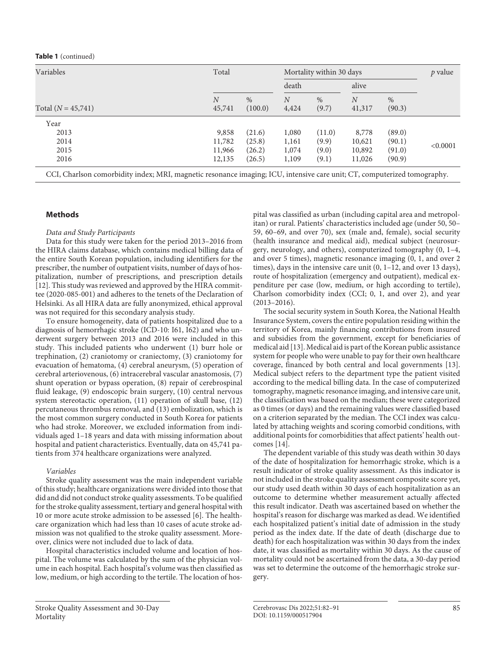#### **Table 1** (continued)

| Variables<br>Total $(N = 45,741)$ | Total                      |                 |                         | Mortality within 30 days |                          |                |          |
|-----------------------------------|----------------------------|-----------------|-------------------------|--------------------------|--------------------------|----------------|----------|
|                                   |                            |                 |                         | death                    |                          | alive          |          |
|                                   | $\boldsymbol{N}$<br>45,741 | $\%$<br>(100.0) | $\overline{N}$<br>4,424 | %<br>(9.7)               | $\overline{N}$<br>41,317 | $\%$<br>(90.3) |          |
| Year                              |                            |                 |                         |                          |                          |                |          |
| 2013                              | 9,858                      | (21.6)          | 1,080                   | (11.0)                   | 8,778                    | (89.0)         |          |
| 2014                              | 11,782                     | (25.8)          | 1,161                   | (9.9)                    | 10,621                   | (90.1)         | < 0.0001 |
| 2015                              | 11,966                     | (26.2)          | 1,074                   | (9.0)                    | 10,892                   | (91.0)         |          |
| 2016                              | 12,135                     | (26.5)          | 1,109                   | (9.1)                    | 11,026                   | (90.9)         |          |

CCI, Charlson comorbidity index; MRI, magnetic resonance imaging; ICU, intensive care unit; CT, computerized tomography.

# **Methods**

#### *Data and Study Participants*

Data for this study were taken for the period 2013–2016 from the HIRA claims database, which contains medical billing data of the entire South Korean population, including identifiers for the prescriber, the number of outpatient visits, number of days of hospitalization, number of prescriptions, and prescription details [[1](#page-8-0)[2\]](#page-8-1). This study was reviewed and approved by the HIRA committee (2020-085-001) and adheres to the tenets of the Declaration of Helsinki. As all HIRA data are fully anonymized, ethical approval was not required for this secondary analysis study.

<span id="page-3-0"></span>To ensure homogeneity, data of patients hospitalized due to a diagnosis of hemorrhagic stroke (ICD-10: I61, I62) and who underwent surgery between 2013 and 2016 were included in this study. This included patients who underwent (1) burr hole or trephination, (2) craniotomy or craniectomy, (3) craniotomy for evacuation of hematoma, (4) cerebral aneurysm, (5) operation of cerebral arteriovenous, (6) intracerebral vascular anastomosis, (7) shunt operation or bypass operation, (8) repair of cerebrospinal fluid leakage, (9) endoscopic brain surgery, (10) central nervous system stereotactic operation, (11) operation of skull base, (12) percutaneous thrombus removal, and (13) embolization, which is the most common surgery conducted in South Korea for patients who had stroke. Moreover, we excluded information from individuals aged 1–18 years and data with missing information about hospital and patient characteristics. Eventually, data on 45,741 patients from 374 healthcare organizations were analyzed.

#### *Variables*

Stroke quality assessment was the main independent variable of this study; healthcare organizations were divided into those that did and did not conduct stroke quality assessments. To be qualified for the stroke quality assessment, tertiary and general hospital with 10 or more acute stroke admission to be assessed [[6](#page-8-5)]. The healthcare organization which had less than 10 cases of acute stroke admission was not qualified to the stroke quality assessment. Moreover, clinics were not included due to lack of data.

Hospital characteristics included volume and location of hospital. The volume was calculated by the sum of the physician volume in each hospital. Each hospital's volume was then classified as low, medium, or high according to the tertile. The location of hospital was classified as urban (including capital area and metropolitan) or rural. Patients' characteristics included age (under 50, 50– 59, 60–69, and over 70), sex (male and, female), social security (health insurance and medical aid), medical subject (neurosurgery, neurology, and others), computerized tomography (0, 1–4, and over 5 times), magnetic resonance imaging (0, 1, and over 2 times), days in the intensive care unit (0, 1–12, and over 13 days), route of hospitalization (emergency and outpatient), medical expenditure per case (low, medium, or high according to tertile), Charlson comorbidity index (CCI; 0, 1, and over 2), and year (2013–2016).

<span id="page-3-1"></span>The social security system in South Korea, the National Health Insurance System, covers the entire population residing within the territory of Korea, mainly financing contributions from insured and subsidies from the government, except for beneficiaries of medical aid [[1](#page-8-0)[3](#page-8-2)]. Medical aid is part of the Korean public assistance system for people who were unable to pay for their own healthcare coverage, financed by both central and local governments [\[1](#page-8-0)[3](#page-8-2)]. Medical subject refers to the department type the patient visited according to the medical billing data. In the case of computerized tomography, magnetic resonance imaging, and intensive care unit, the classification was based on the median; these were categorized as 0 times (or days) and the remaining values were classified based on a criterion separated by the median. The CCI index was calculated by attaching weights and scoring comorbid conditions, with additional points for comorbidities that affect patients' health outcomes [[1](#page-8-0)[4\]](#page-8-3).

<span id="page-3-2"></span>The dependent variable of this study was death within 30 days of the date of hospitalization for hemorrhagic stroke, which is a result indicator of stroke quality assessment. As this indicator is not included in the stroke quality assessment composite score yet, our study used death within 30 days of each hospitalization as an outcome to determine whether measurement actually affected this result indicator. Death was ascertained based on whether the hospital's reason for discharge was marked as dead. We identified each hospitalized patient's initial date of admission in the study period as the index date. If the date of death (discharge due to death) for each hospitalization was within 30 days from the index date, it was classified as mortality within 30 days. As the cause of mortality could not be ascertained from the data, a 30-day period was set to determine the outcome of the hemorrhagic stroke surgery.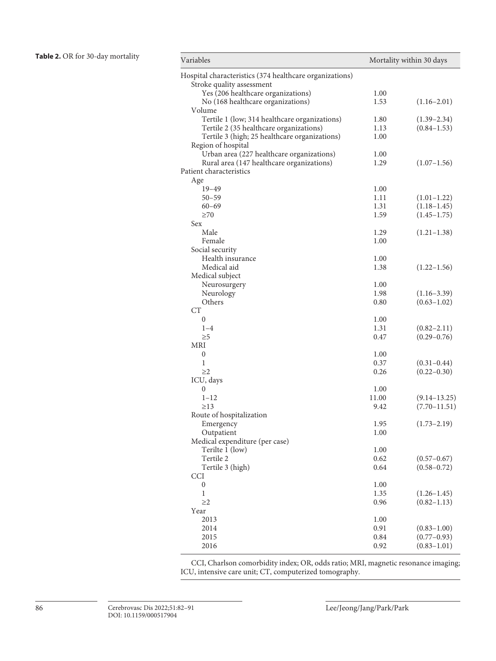| Variables                                               | Mortality within 30 days |                                    |  |  |
|---------------------------------------------------------|--------------------------|------------------------------------|--|--|
| Hospital characteristics (374 healthcare organizations) |                          |                                    |  |  |
| Stroke quality assessment                               |                          |                                    |  |  |
| Yes (206 healthcare organizations)                      | 1.00                     |                                    |  |  |
| No (168 healthcare organizations)                       | 1.53                     | $(1.16 - 2.01)$                    |  |  |
| Volume                                                  |                          |                                    |  |  |
| Tertile 1 (low; 314 healthcare organizations)           | 1.80                     | $(1.39 - 2.34)$                    |  |  |
| Tertile 2 (35 healthcare organizations)                 | 1.13                     | $(0.84 - 1.53)$                    |  |  |
| Tertile 3 (high; 25 healthcare organizations)           | 1.00                     |                                    |  |  |
| Region of hospital                                      |                          |                                    |  |  |
| Urban area (227 healthcare organizations)               | 1.00                     |                                    |  |  |
| Rural area (147 healthcare organizations)               | 1.29                     | $(1.07-1.56)$                      |  |  |
| Patient characteristics                                 |                          |                                    |  |  |
| Age                                                     |                          |                                    |  |  |
| $19 - 49$                                               | 1.00                     |                                    |  |  |
| $50 - 59$                                               | 1.11                     | $(1.01-1.22)$                      |  |  |
| $60 - 69$                                               | 1.31                     | $(1.18 - 1.45)$                    |  |  |
| $\geq 70$                                               | 1.59                     | $(1.45 - 1.75)$                    |  |  |
| Sex                                                     |                          |                                    |  |  |
| Male                                                    | 1.29                     | $(1.21 - 1.38)$                    |  |  |
| Female                                                  | 1.00                     |                                    |  |  |
| Social security                                         |                          |                                    |  |  |
| Health insurance                                        | 1.00                     |                                    |  |  |
| Medical aid                                             | 1.38                     | $(1.22 - 1.56)$                    |  |  |
| Medical subject                                         |                          |                                    |  |  |
| Neurosurgery                                            | 1.00                     |                                    |  |  |
| Neurology                                               | 1.98                     | $(1.16 - 3.39)$                    |  |  |
| Others<br><b>CT</b>                                     | 0.80                     | $(0.63 - 1.02)$                    |  |  |
|                                                         |                          |                                    |  |  |
| 0<br>$1 - 4$                                            | 1.00<br>1.31             |                                    |  |  |
| $\geq 5$                                                | 0.47                     | $(0.82 - 2.11)$<br>$(0.29 - 0.76)$ |  |  |
| MRI                                                     |                          |                                    |  |  |
| $\mathbf{0}$                                            | 1.00                     |                                    |  |  |
| 1                                                       | 0.37                     | $(0.31 - 0.44)$                    |  |  |
| $\geq$ 2                                                | 0.26                     | $(0.22 - 0.30)$                    |  |  |
| ICU, days                                               |                          |                                    |  |  |
| 0                                                       | 1.00                     |                                    |  |  |
| $1 - 12$                                                | 11.00                    | $(9.14 - 13.25)$                   |  |  |
| $\geq$ 13                                               | 9.42                     | $(7.70 - 11.51)$                   |  |  |
| Route of hospitalization                                |                          |                                    |  |  |
| Emergency                                               | 1.95                     | $(1.73 - 2.19)$                    |  |  |
| Outpatient                                              | 1.00                     |                                    |  |  |
| Medical expenditure (per case)                          |                          |                                    |  |  |
| Terilte 1 (low)                                         | 1.00                     |                                    |  |  |
| Tertile 2                                               | 0.62                     | $(0.57 - 0.67)$                    |  |  |
| Tertile 3 (high)                                        | 0.64                     | $(0.58 - 0.72)$                    |  |  |
| <b>CCI</b>                                              |                          |                                    |  |  |
| 0                                                       | 1.00                     |                                    |  |  |
| $\mathbf{1}$                                            | 1.35                     | $(1.26 - 1.45)$                    |  |  |
| $\geq$                                                  | 0.96                     | $(0.82 - 1.13)$                    |  |  |
| Year                                                    |                          |                                    |  |  |
| 2013                                                    | 1.00                     |                                    |  |  |
| 2014                                                    | 0.91                     | $(0.83 - 1.00)$                    |  |  |
| 2015                                                    | 0.84                     | $(0.77 - 0.93)$                    |  |  |
| 2016                                                    | 0.92                     | $(0.83 - 1.01)$                    |  |  |

CCI, Charlson comorbidity index; OR, odds ratio; MRI, magnetic resonance imaging; ICU, intensive care unit; CT, computerized tomography.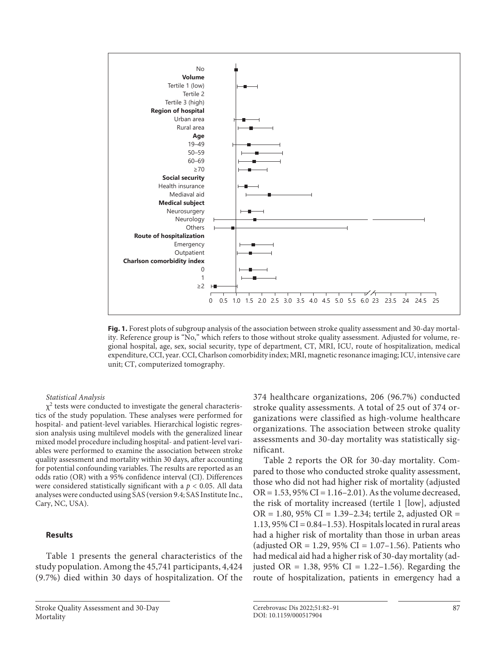

**Fig. 1.** Forest plots of subgroup analysis of the association between stroke quality assessment and 30-day mortality. Reference group is "No," which refers to those without stroke quality assessment. Adjusted for volume, regional hospital, age, sex, social security, type of department, CT, MRI, ICU, route of hospitalization, medical expenditure, CCI, year. CCI, Charlson comorbidity index; MRI, magnetic resonance imaging; ICU, intensive care unit; CT, computerized tomography.

#### *Statistical Analysis*

 $\chi^2$  tests were conducted to investigate the general characteristics of the study population. These analyses were performed for hospital- and patient-level variables. Hierarchical logistic regression analysis using multilevel models with the generalized linear mixed model procedure including hospital- and patient-level variables were performed to examine the association between stroke quality assessment and mortality within 30 days, after accounting for potential confounding variables. The results are reported as an odds ratio (OR) with a 95% confidence interval (CI). Differences were considered statistically significant with a *p* < 0.05. All data analyses were conducted using SAS (version 9.4; SAS Institute Inc., Cary, NC, USA).

# **Results**

Table 1 presents the general characteristics of the study population. Among the 45,741 participants, 4,424 (9.7%) died within 30 days of hospitalization. Of the 374 healthcare organizations, 206 (96.7%) conducted stroke quality assessments. A total of 25 out of 374 organizations were classified as high-volume healthcare organizations. The association between stroke quality assessments and 30-day mortality was statistically significant.

Table 2 reports the OR for 30-day mortality. Compared to those who conducted stroke quality assessment, those who did not had higher risk of mortality (adjusted OR =  $1.53$ ,  $95\%$  CI =  $1.16 - 2.01$ ). As the volume decreased, the risk of mortality increased (tertile 1 [low], adjusted  $OR = 1.80, 95\% \text{ CI} = 1.39 - 2.34$ ; tertile 2, adjusted OR = 1.13,  $95\%$  CI = 0.84-1.53). Hospitals located in rural areas had a higher risk of mortality than those in urban areas (adjusted OR = 1.29, 95% CI = 1.07-1.56). Patients who had medical aid had a higher risk of 30-day mortality (adjusted OR = 1.38, 95% CI = 1.22-1.56). Regarding the route of hospitalization, patients in emergency had a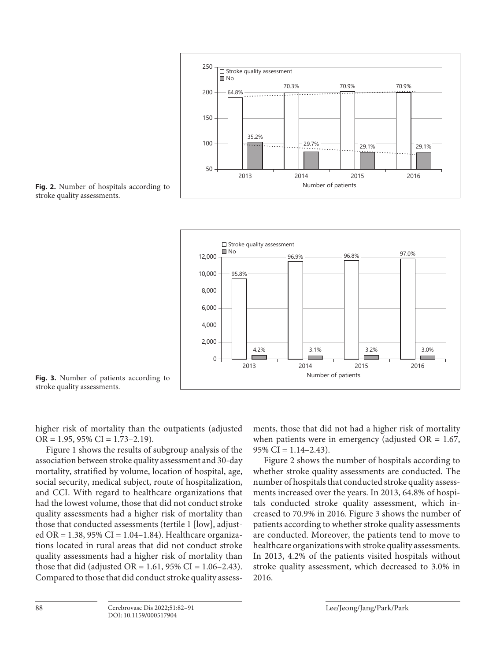

**Fig. 2.** Number of hospitals according to stroke quality assessments.



**Fig. 3.** Number of patients according to stroke quality assessments.

higher risk of mortality than the outpatients (adjusted  $OR = 1.95, 95\% CI = 1.73 - 2.19$ .

Figure 1 shows the results of subgroup analysis of the association between stroke quality assessment and 30-day mortality, stratified by volume, location of hospital, age, social security, medical subject, route of hospitalization, and CCI. With regard to healthcare organizations that had the lowest volume, those that did not conduct stroke quality assessments had a higher risk of mortality than those that conducted assessments (tertile 1 [low], adjusted OR = 1.38, 95% CI = 1.04–1.84). Healthcare organizations located in rural areas that did not conduct stroke quality assessments had a higher risk of mortality than those that did (adjusted OR = 1.61, 95% CI = 1.06-2.43). Compared to those that did conduct stroke quality assessments, those that did not had a higher risk of mortality when patients were in emergency (adjusted  $OR = 1.67$ ,  $95\%$  CI = 1.14-2.43).

Figure 2 shows the number of hospitals according to whether stroke quality assessments are conducted. The number of hospitals that conducted stroke quality assessments increased over the years. In 2013, 64.8% of hospitals conducted stroke quality assessment, which increased to 70.9% in 2016. Figure 3 shows the number of patients according to whether stroke quality assessments are conducted. Moreover, the patients tend to move to healthcare organizations with stroke quality assessments. In 2013, 4.2% of the patients visited hospitals without stroke quality assessment, which decreased to 3.0% in 2016.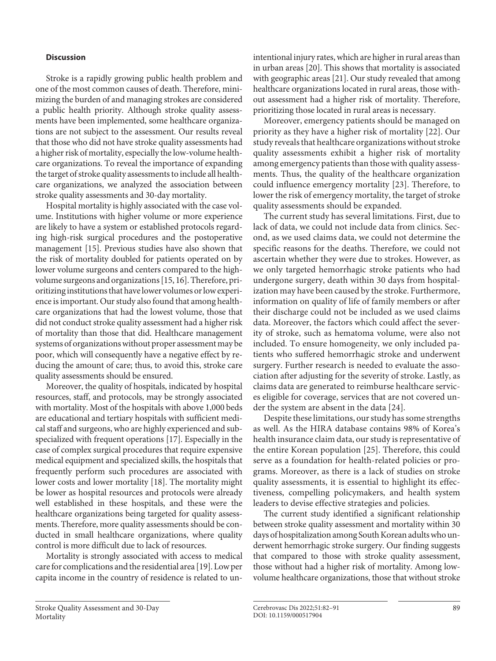# **Discussion**

Stroke is a rapidly growing public health problem and one of the most common causes of death. Therefore, minimizing the burden of and managing strokes are considered a public health priority. Although stroke quality assessments have been implemented, some healthcare organizations are not subject to the assessment. Our results reveal that those who did not have stroke quality assessments had a higher risk of mortality, especially the low-volume healthcare organizations. To reveal the importance of expanding the target of stroke quality assessments to include all healthcare organizations, we analyzed the association between stroke quality assessments and 30-day mortality.

<span id="page-7-1"></span><span id="page-7-0"></span>Hospital mortality is highly associated with the case volume. Institutions with higher volume or more experience are likely to have a system or established protocols regarding high-risk surgical procedures and the postoperative management [[1](#page-8-0)[5\]](#page-8-4). Previous studies have also shown that the risk of mortality doubled for patients operated on by lower volume surgeons and centers compared to the highvolume surgeons and organizations [[1](#page-8-0)[5](#page-8-4), [1](#page-8-0)[6](#page-8-5)]. Therefore, prioritizing institutions that have lower volumes or low experience is important. Our study also found that among healthcare organizations that had the lowest volume, those that did not conduct stroke quality assessment had a higher risk of mortality than those that did. Healthcare management systems of organizations without proper assessment may be poor, which will consequently have a negative effect by reducing the amount of care; thus, to avoid this, stroke care quality assessments should be ensured.

Moreover, the quality of hospitals, indicated by hospital resources, staff, and protocols, may be strongly associated with mortality. Most of the hospitals with above 1,000 beds are educational and tertiary hospitals with sufficient medical staff and surgeons, who are highly experienced and subspecialized with frequent operations [\[1](#page-8-0)[7](#page-8-6)]. Especially in the case of complex surgical procedures that require expensive medical equipment and specialized skills, the hospitals that frequently perform such procedures are associated with lower costs and lower mortality [[1](#page-8-0)[8\]](#page-8-7). The mortality might be lower as hospital resources and protocols were already well established in these hospitals, and these were the healthcare organizations being targeted for quality assessments. Therefore, more quality assessments should be conducted in small healthcare organizations, where quality control is more difficult due to lack of resources.

Mortality is strongly associated with access to medical care for complications and the residential area [\[1](#page-8-0)[9](#page-8-8)]. Low per capita income in the country of residence is related to unintentional injury rates, which are higher in rural areas than in urban areas [[20](#page-8-1)]. This shows that mortality is associated with geographic areas [\[2](#page-8-1)[1\]](#page-8-0). Our study revealed that among healthcare organizations located in rural areas, those without assessment had a higher risk of mortality. Therefore, prioritizing those located in rural areas is necessary.

Moreover, emergency patients should be managed on priority as they have a higher risk of mortality [[22\]](#page-8-1). Our study reveals that healthcare organizations without stroke quality assessments exhibit a higher risk of mortality among emergency patients than those with quality assessments. Thus, the quality of the healthcare organization could influence emergency mortality [[2](#page-8-1)[3](#page-8-2)]. Therefore, to lower the risk of emergency mortality, the target of stroke quality assessments should be expanded.

The current study has several limitations. First, due to lack of data, we could not include data from clinics. Second, as we used claims data, we could not determine the specific reasons for the deaths. Therefore, we could not ascertain whether they were due to strokes. However, as we only targeted hemorrhagic stroke patients who had undergone surgery, death within 30 days from hospitalization may have been caused by the stroke. Furthermore, information on quality of life of family members or after their discharge could not be included as we used claims data. Moreover, the factors which could affect the severity of stroke, such as hematoma volume, were also not included. To ensure homogeneity, we only included patients who suffered hemorrhagic stroke and underwent surgery. Further research is needed to evaluate the association after adjusting for the severity of stroke. Lastly, as claims data are generated to reimburse healthcare services eligible for coverage, services that are not covered under the system are absent in the data [\[2](#page-8-1)[4\]](#page-8-3).

Despite these limitations, our study has some strengths as well. As the HIRA database contains 98% of Korea's health insurance claim data, our study is representative of the entire Korean population [\[2](#page-8-1)[5\]](#page-8-4). Therefore, this could serve as a foundation for health-related policies or programs. Moreover, as there is a lack of studies on stroke quality assessments, it is essential to highlight its effectiveness, compelling policymakers, and health system leaders to devise effective strategies and policies.

The current study identified a significant relationship between stroke quality assessment and mortality within 30 days of hospitalization among South Korean adults who underwent hemorrhagic stroke surgery. Our finding suggests that compared to those with stroke quality assessment, those without had a higher risk of mortality. Among lowvolume healthcare organizations, those that without stroke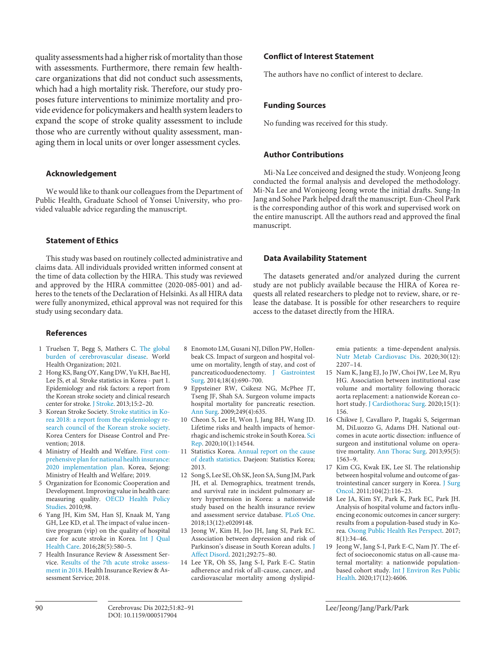quality assessments had a higher risk of mortality than those with assessments. Furthermore, there remain few healthcare organizations that did not conduct such assessments, which had a high mortality risk. Therefore, our study proposes future interventions to minimize mortality and provide evidence for policymakers and health system leaders to expand the scope of stroke quality assessment to include those who are currently without quality assessment, managing them in local units or over longer assessment cycles.

### **Acknowledgement**

We would like to thank our colleagues from the Department of Public Health, Graduate School of Yonsei University, who provided valuable advice regarding the manuscript.

### **Statement of Ethics**

This study was based on routinely collected administrative and claims data. All individuals provided written informed consent at the time of data collection by the HIRA. This study was reviewed and approved by the HIRA committee (2020-085-001) and adheres to the tenets of the Declaration of Helsinki. As all HIRA data were fully anonymized, ethical approval was not required for this study using secondary data.

## **References**

- <span id="page-8-0"></span>[1](#page-1-0) Truelsen T, Begg S, Mathers C. [The global](https://www.karger.com/Article/FullText/517904?ref=1#ref1) [burden of cerebrovascular disease.](https://www.karger.com/Article/FullText/517904?ref=1#ref1) World Health Organization; 2021.
- <span id="page-8-1"></span>[2](#page-1-1) Hong KS, Bang OY, Kang DW, Yu KH, Bae HJ, Lee JS, et al. Stroke statistics in Korea - part 1. Epidemiology and risk factors: a report from the Korean stroke society and clinical research center for stroke. [J Stroke](https://www.karger.com/Article/FullText/517904?ref=2#ref2). 2013;15:2-20.
- <span id="page-8-2"></span>[3](#page-1-2) Korean Stroke Society. Stroke statitics in Korea 2018: [a report from the epidemiology re](https://www.karger.com/Article/FullText/517904?ref=3#ref3)[search council of the Korean stroke society](https://www.karger.com/Article/FullText/517904?ref=3#ref3). Korea Centers for Disease Control and Prevention; 2018.
- <span id="page-8-3"></span>[4](#page-1-3) Ministry of Health and Welfare. First comprehensive plan for national health insurance[:](https://www.karger.com/Article/FullText/517904?ref=4#ref4) [2020 implementation plan.](https://www.karger.com/Article/FullText/517904?ref=4#ref4) Korea, Sejong: Ministry of Health and Welfare; 2019.
- <span id="page-8-4"></span>[5](#page-1-4) Organization for Economic Cooperation and Development. Improving value in health care: measuring quality. [OECD Health Policy](https://www.karger.com/Article/FullText/517904?ref=5#ref5) [Studies](https://www.karger.com/Article/FullText/517904?ref=5#ref5). 2010;98.
- <span id="page-8-5"></span>[6](#page-1-4) Yang JH, Kim SM, Han SJ, Knaak M, Yang GH, Lee KD, et al. The impact of value incentive program (vip) on the quality of hospital care for acute stroke in Korea. [Int J Qual](https://www.karger.com/Article/FullText/517904?ref=6#ref6) [Health Care](https://www.karger.com/Article/FullText/517904?ref=6#ref6). 2016;28(5):580–5.
- <span id="page-8-6"></span>[7](#page-1-5) Health Insurance Review & Assessment Service. [Results of the 7th acute stroke assess](https://www.karger.com/Article/FullText/517904?ref=7#ref7)[ment in 2018](https://www.karger.com/Article/FullText/517904?ref=7#ref7). Health Insurance Review & Assessment Service; 2018.
- <span id="page-8-7"></span>[8](#page-1-6) Enomoto LM, Gusani NJ, Dillon PW, Hollenbeak CS. Impact of surgeon and hospital volume on mortality, length of stay, and cost of pancreaticoduodenectomy. [J Gastrointest](https://www.karger.com/Article/FullText/517904?ref=8#ref8) [Surg.](https://www.karger.com/Article/FullText/517904?ref=8#ref8) 2014;18(4):690–700.
- <span id="page-8-8"></span>[9](#page-1-7) Eppsteiner RW, Csikesz NG, McPhee JT, Tseng JF, Shah SA. Surgeon volume impacts hospital mortality for pancreatic resection. [Ann Surg](https://www.karger.com/Article/FullText/517904?ref=9#ref9). 2009;249(4):635.
- [10](#page-1-8) Cheon S, Lee H, Won J, Jang BH, Wang JD. Lifetime risks and health impacts of hemorrhagic and ischemic stroke in South Korea. [Sci](https://www.karger.com/Article/FullText/517904?ref=10#ref10) [Rep.](https://www.karger.com/Article/FullText/517904?ref=10#ref10) 2020;10(1):14544.
- [11](#page-1-9) Statistics Korea. [Annual report on the cause](https://www.karger.com/Article/FullText/517904?ref=11#ref11) [of death statistics](https://www.karger.com/Article/FullText/517904?ref=11#ref11). Daejeon: Statistics Korea; 2013.
- [12](#page-3-0) Song S, Lee SE, Oh SK, Jeon SA, Sung JM, Park JH, et al. Demographics, treatment trends, and survival rate in incident pulmonary artery hypertension in Korea: a nationwide study based on the health insurance review and assessment service database. [PLoS One.](https://www.karger.com/Article/FullText/517904?ref=12#ref12) 2018;13(12):e0209148.
- [13](#page-3-1) Jeong W, Kim H, Joo JH, Jang SI, Park EC. Association between depression and risk of Parkinson's disease in South Korean adults. [J](https://www.karger.com/Article/FullText/517904?ref=13#ref13) [Affect Disord.](https://www.karger.com/Article/FullText/517904?ref=13#ref13) 2021;292:75–80.
- [14](#page-3-2) Lee YR, Oh SS, Jang S-I, Park E-C. Statin adherence and risk of all-cause, cancer, and cardiovascular mortality among dyslipid-

## **Conflict of Interest Statement**

The authors have no conflict of interest to declare.

## **Funding Sources**

No funding was received for this study.

# **Author Contributions**

Mi-Na Lee conceived and designed the study. Wonjeong Jeong conducted the formal analysis and developed the methodology. Mi-Na Lee and Wonjeong Jeong wrote the initial drafts. Sung-In Jang and Sohee Park helped draft the manuscript. Eun-Cheol Park is the corresponding author of this work and supervised work on the entire manuscript. All the authors read and approved the final manuscript.

#### **Data Availability Statement**

The datasets generated and/or analyzed during the current study are not publicly available because the HIRA of Korea requests all related researchers to pledge not to review, share, or release the database. It is possible for other researchers to require access to the dataset directly from the HIRA.

> emia patients: a time-dependent analysis. [Nutr Metab Cardiovasc Dis.](https://www.karger.com/Article/FullText/517904?ref=14#ref14) 2020;30(12): 2207–14.

- [15](#page-7-0) Nam K, Jang EJ, Jo JW, Choi JW, Lee M, Ryu HG. Association between institutional case volume and mortality following thoracic aorta replacement: a nationwide Korean co-hort study. [J Cardiothorac Surg](https://www.karger.com/Article/FullText/517904?ref=15#ref15). 2020;15(1): 156.
- [16](#page-7-1) Chikwe J, Cavallaro P, Itagaki S, Seigerman M, DiLuozzo G, Adams DH. National outcomes in acute aortic dissection: influence of surgeon and institutional volume on operative mortality. [Ann Thorac Surg](https://www.karger.com/Article/FullText/517904?ref=16#ref16). 2013;95(5): 1563–9.
- 17 Kim CG, Kwak EK, Lee SI. The relationship between hospital volume and outcome of gastrointestinal cancer surgery in Korea. [J Surg](https://www.karger.com/Article/FullText/517904?ref=17#ref17)  [Oncol](https://www.karger.com/Article/FullText/517904?ref=17#ref17). 2011;104(2):116–23.
- 18 Lee JA, Kim SY, Park K, Park EC, Park JH. Analysis of hospital volume and factors influencing economic outcomes in cancer surgery: results from a population-based study in Korea. [Osong Public Health Res Perspect](https://www.karger.com/Article/FullText/517904?ref=18#ref18). 2017; 8(1):34–46.
- 19 Jeong W, Jang S-I, Park E-C, Nam JY. The effect of socioeconomic status on all-cause maternal mortality: a nationwide populationbased cohort study. [Int J Environ Res Public](https://www.karger.com/Article/FullText/517904?ref=19#ref19)  [Health](https://www.karger.com/Article/FullText/517904?ref=19#ref19). 2020;17(12):4606.